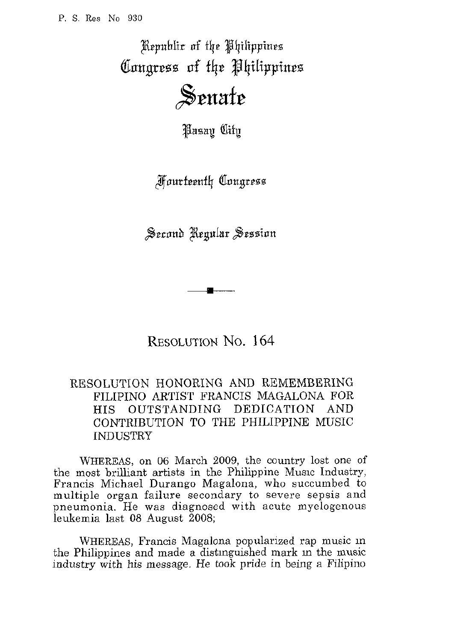Republic of the Philippines Congress of the Philippines

## Senate

*Hasan* City

**Fourteenth Congress** 

Second Regular Session

RESOLUTION No. 164

## RESOLUTION HONORING AND REMEMBERING FILIPINO ARTIST FRANCIS MAGALONA FOR HIS OUTSTANDING DEDICATION AND CONTRIBUTION TO THE PHILIPPINE MUSIC INDUSTRY

WHEREAS, on 06 March 2009, the country lost one of the most brilliant artists in the Philippine Music Industry, Francis Michael Durango Magalona, who succumbed *to*  multiple organ failure secondary to severe sepsis and pneumonia. He was diagnosed with acute myelogenous leukemia last 08 August 2008;

WHEREAS, Francis Magalona popularized rap music in the Philippines and made a distinguished mark in the music industry with his message. He took pride in being a Filipino